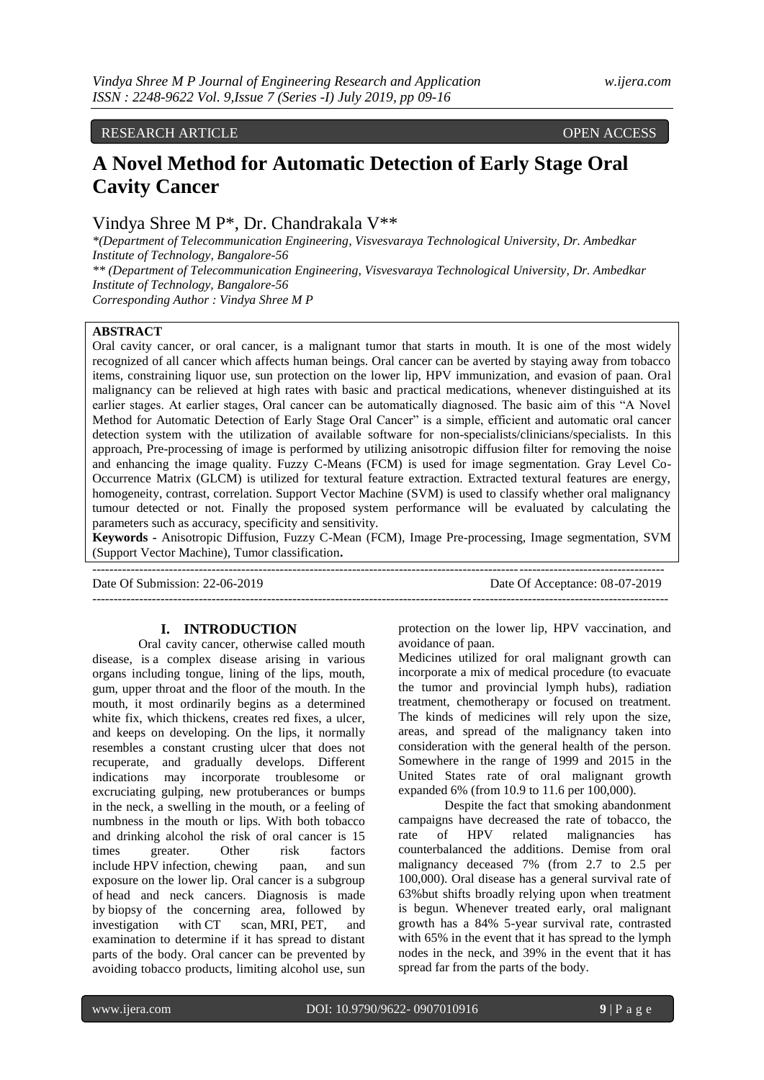# RESEARCH ARTICLE OPEN ACCESS

# **A Novel Method for Automatic Detection of Early Stage Oral Cavity Cancer**

# Vindya Shree M P\*, Dr. Chandrakala V\*\*

*\*(Department of Telecommunication Engineering, Visvesvaraya Technological University, Dr. Ambedkar Institute of Technology, Bangalore-56 \*\* (Department of Telecommunication Engineering, Visvesvaraya Technological University, Dr. Ambedkar Institute of Technology, Bangalore-56 Corresponding Author : Vindya Shree M P*

## **ABSTRACT**

Oral cavity cancer, or oral cancer, is a malignant tumor that starts in mouth. It is one of the most widely recognized of all cancer which affects human beings. Oral cancer can be averted by staying away from tobacco items, constraining liquor use, sun protection on the lower lip, HPV immunization, and evasion of paan. Oral malignancy can be relieved at high rates with basic and practical medications, whenever distinguished at its earlier stages. At earlier stages, Oral cancer can be automatically diagnosed. The basic aim of this "A Novel Method for Automatic Detection of Early Stage Oral Cancer" is a simple, efficient and automatic oral cancer detection system with the utilization of available software for non-specialists/clinicians/specialists. In this approach, Pre-processing of image is performed by utilizing anisotropic diffusion filter for removing the noise and enhancing the image quality. Fuzzy C-Means (FCM) is used for image segmentation. Gray Level Co-Occurrence Matrix (GLCM) is utilized for textural feature extraction. Extracted textural features are energy, homogeneity, contrast, correlation. Support Vector Machine (SVM) is used to classify whether oral malignancy tumour detected or not. Finally the proposed system performance will be evaluated by calculating the parameters such as accuracy, specificity and sensitivity.

**Keywords -** Anisotropic Diffusion, Fuzzy C-Mean (FCM), Image Pre-processing, Image segmentation, SVM (Support Vector Machine), Tumor classification**.** 

---------------------------------------------------------------------------------------------------------------------------------------

Date Of Submission: 22-06-2019 Date Of Acceptance: 08-07-2019

### **I. INTRODUCTION**

--------------------------------------------------------------------------------------------------------------------------------------

Oral cavity cancer, otherwise called mouth disease, is a complex disease arising in various organs including tongue, lining of the lips, mouth, gum, upper throat and the floor of the mouth. In the mouth, it most ordinarily begins as a determined white fix, which thickens, creates red fixes, a ulcer, and keeps on developing. On the lips, it normally resembles a constant crusting ulcer that does not recuperate, and gradually develops. Different indications may incorporate troublesome or excruciating gulping, new protuberances or bumps in the neck, a swelling in the mouth, or a feeling of numbness in the mouth or lips. With both tobacco and drinking alcohol the risk of oral cancer is 15 times greater. Other risk factors include [HPV](https://en.wikipedia.org/wiki/Human_papillomavirus_infection) infection, chewing [paan,](https://en.wikipedia.org/wiki/Paan) and sun [exposure](https://en.wikipedia.org/wiki/Actinic_cheilitis) on the lower lip. Oral cancer is a subgroup of [head and neck cancers.](https://en.wikipedia.org/wiki/Head_and_neck_cancer) Diagnosis is made by [biopsy](https://en.wikipedia.org/wiki/Biopsy) of the concerning area, followed by investigation with [CT scan,](https://en.wikipedia.org/wiki/CT_scan) [MRI,](https://en.wikipedia.org/wiki/Magnetic_resonance_imaging) [PET,](https://en.wikipedia.org/wiki/Positron_emission_tomography) and examination to determine if it has spread to distant parts of the body. Oral cancer can be prevented by avoiding tobacco products, limiting alcohol use, sun protection on the lower lip, HPV vaccination, and avoidance of paan.

Medicines utilized for oral malignant growth can incorporate a mix of medical procedure (to evacuate the tumor and provincial lymph hubs), radiation treatment, chemotherapy or focused on treatment. The kinds of medicines will rely upon the size, areas, and spread of the malignancy taken into consideration with the general health of the person. Somewhere in the range of 1999 and 2015 in the United States rate of oral malignant growth expanded 6% (from 10.9 to 11.6 per 100,000).

Despite the fact that smoking abandonment campaigns have decreased the rate of tobacco, the rate of HPV related malignancies has counterbalanced the additions. Demise from oral malignancy deceased 7% (from 2.7 to 2.5 per 100,000). Oral disease has a general survival rate of 63%but shifts broadly relying upon when treatment is begun. Whenever treated early, oral malignant growth has a 84% 5-year survival rate, contrasted with 65% in the event that it has spread to the lymph nodes in the neck, and 39% in the event that it has spread far from the parts of the body.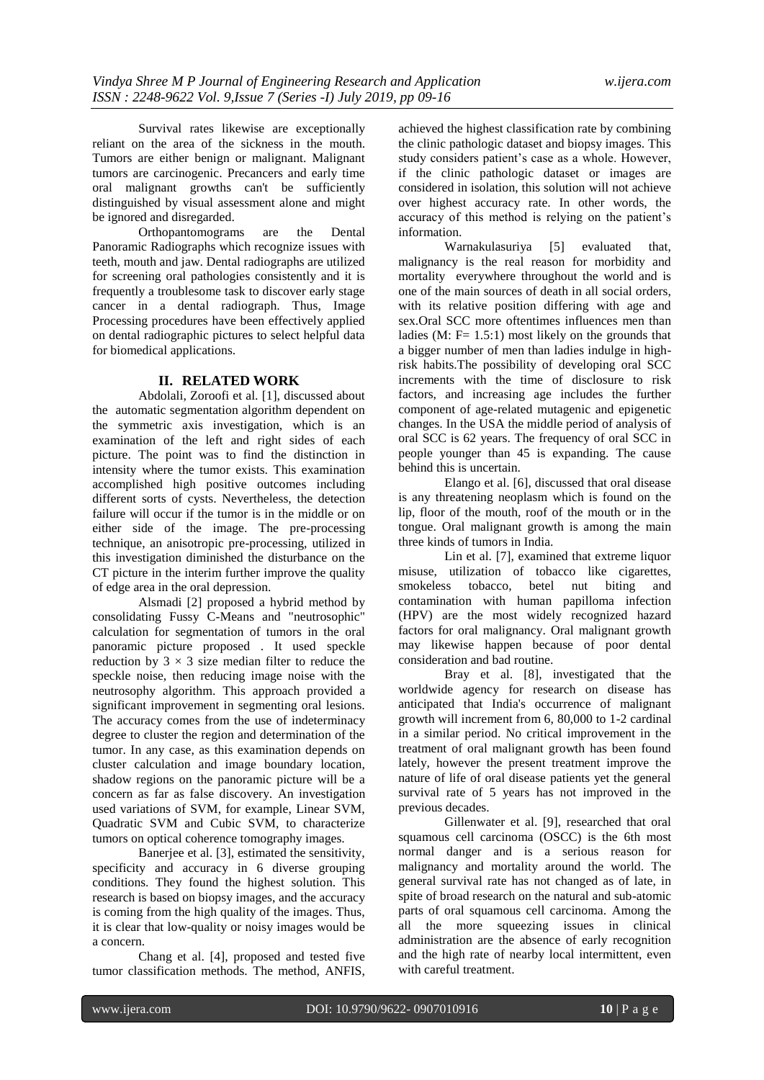Survival rates likewise are exceptionally reliant on the area of the sickness in the mouth. Tumors are either benign or malignant. Malignant tumors are carcinogenic. Precancers and early time oral malignant growths can't be sufficiently distinguished by visual assessment alone and might be ignored and disregarded.

Orthopantomograms are the Dental Panoramic Radiographs which recognize issues with teeth, mouth and jaw. Dental radiographs are utilized for screening oral pathologies consistently and it is frequently a troublesome task to discover early stage cancer in a dental radiograph. Thus, Image Processing procedures have been effectively applied on dental radiographic pictures to select helpful data for biomedical applications.

### **II. RELATED WORK**

Abdolali, Zoroofi et al. [1], discussed about the automatic segmentation algorithm dependent on the symmetric axis investigation, which is an examination of the left and right sides of each picture. The point was to find the distinction in intensity where the tumor exists. This examination accomplished high positive outcomes including different sorts of cysts. Nevertheless, the detection failure will occur if the tumor is in the middle or on either side of the image. The pre-processing technique, an anisotropic pre-processing, utilized in this investigation diminished the disturbance on the CT picture in the interim further improve the quality of edge area in the oral depression.

Alsmadi [2] proposed a hybrid method by consolidating Fussy C-Means and "neutrosophic" calculation for segmentation of tumors in the oral panoramic picture proposed . It used speckle reduction by  $3 \times 3$  size median filter to reduce the speckle noise, then reducing image noise with the neutrosophy algorithm. This approach provided a significant improvement in segmenting oral lesions. The accuracy comes from the use of indeterminacy degree to cluster the region and determination of the tumor. In any case, as this examination depends on cluster calculation and image boundary location, shadow regions on the panoramic picture will be a concern as far as false discovery. An investigation used variations of SVM, for example, Linear SVM, Quadratic SVM and Cubic SVM, to characterize tumors on optical coherence tomography images.

Banerjee et al. [3], estimated the sensitivity, specificity and accuracy in 6 diverse grouping conditions. They found the highest solution. This research is based on biopsy images, and the accuracy is coming from the high quality of the images. Thus, it is clear that low-quality or noisy images would be a concern.

Chang et al. [4], proposed and tested five tumor classification methods. The method, ANFIS,

achieved the highest classification rate by combining the clinic pathologic dataset and biopsy images. This study considers patient's case as a whole. However, if the clinic pathologic dataset or images are considered in isolation, this solution will not achieve over highest accuracy rate. In other words, the accuracy of this method is relying on the patient"s information.

Warnakulasuriya [5] evaluated that, malignancy is the real reason for morbidity and mortality everywhere throughout the world and is one of the main sources of death in all social orders, with its relative position differing with age and sex.Oral SCC more oftentimes influences men than ladies (M:  $F = 1.5:1$ ) most likely on the grounds that a bigger number of men than ladies indulge in highrisk habits.The possibility of developing oral SCC increments with the time of disclosure to risk factors, and increasing age includes the further component of age-related mutagenic and epigenetic changes. In the USA the middle period of analysis of oral SCC is 62 years. The frequency of oral SCC in people younger than 45 is expanding. The cause behind this is uncertain.

Elango et al. [6], discussed that oral disease is any threatening neoplasm which is found on the lip, floor of the mouth, roof of the mouth or in the tongue. Oral malignant growth is among the main three kinds of tumors in India.

Lin et al. [7], examined that extreme liquor misuse, utilization of tobacco like cigarettes, smokeless tobacco, betel nut biting and contamination with human papilloma infection (HPV) are the most widely recognized hazard factors for oral malignancy. Oral malignant growth may likewise happen because of poor dental consideration and bad routine.

Bray et al. [8], investigated that the worldwide agency for research on disease has anticipated that India's occurrence of malignant growth will increment from 6, 80,000 to 1-2 cardinal in a similar period. No critical improvement in the treatment of oral malignant growth has been found lately, however the present treatment improve the nature of life of oral disease patients yet the general survival rate of 5 years has not improved in the previous decades.

Gillenwater et al. [9], researched that oral squamous cell carcinoma (OSCC) is the 6th most normal danger and is a serious reason for malignancy and mortality around the world. The general survival rate has not changed as of late, in spite of broad research on the natural and sub-atomic parts of oral squamous cell carcinoma. Among the all the more squeezing issues in clinical administration are the absence of early recognition and the high rate of nearby local intermittent, even with careful treatment.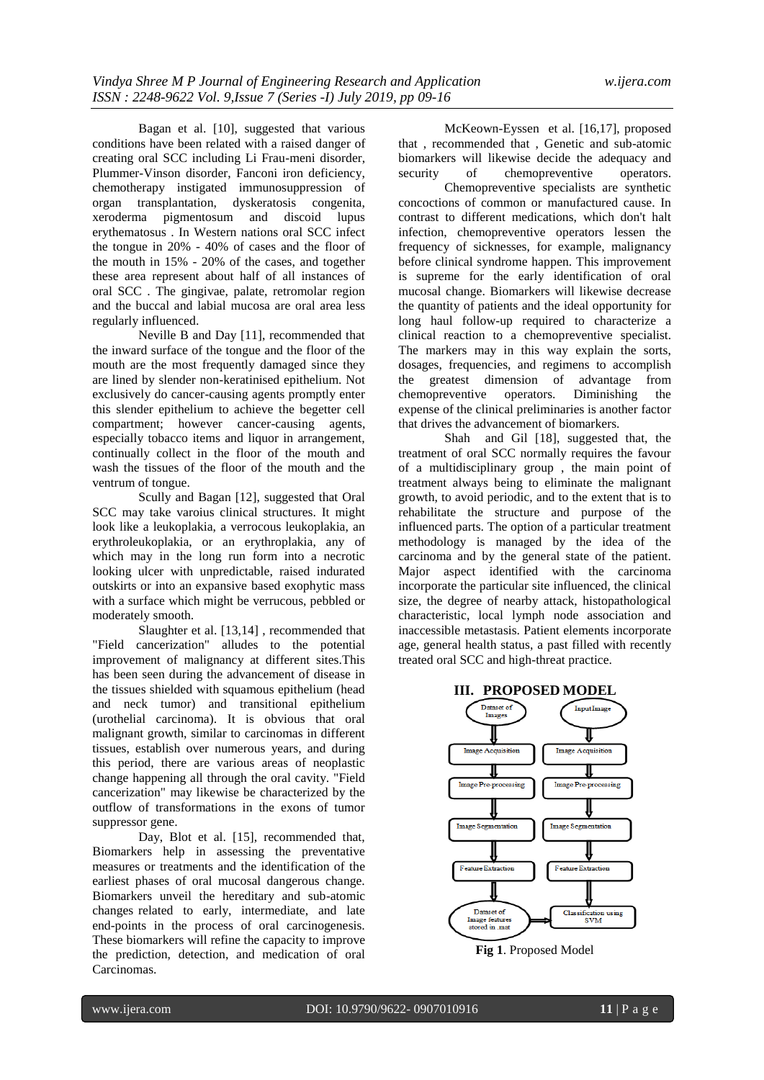Bagan et al. [10], suggested that various conditions have been related with a raised danger of creating oral SCC including Li Frau-meni disorder, Plummer-Vinson disorder, Fanconi iron deficiency, chemotherapy instigated immunosuppression of organ transplantation, dyskeratosis congenita, xeroderma pigmentosum and discoid lupus erythematosus . In Western nations oral SCC infect the tongue in 20% - 40% of cases and the floor of the mouth in 15% - 20% of the cases, and together these area represent about half of all instances of oral SCC . The gingivae, palate, retromolar region and the buccal and labial mucosa are oral area less regularly influenced.

Neville B and Day [11], recommended that the inward surface of the tongue and the floor of the mouth are the most frequently damaged since they are lined by slender non-keratinised epithelium. Not exclusively do cancer-causing agents promptly enter this slender epithelium to achieve the begetter cell compartment; however cancer-causing agents, especially tobacco items and liquor in arrangement, continually collect in the floor of the mouth and wash the tissues of the floor of the mouth and the ventrum of tongue.

Scully and Bagan [12], suggested that Oral SCC may take varoius clinical structures. It might look like a leukoplakia, a verrocous leukoplakia, an erythroleukoplakia, or an erythroplakia, any of which may in the long run form into a necrotic looking ulcer with unpredictable, raised indurated outskirts or into an expansive based exophytic mass with a surface which might be verrucous, pebbled or moderately smooth.

Slaughter et al. [13,14] , recommended that "Field cancerization" alludes to the potential improvement of malignancy at different sites.This has been seen during the advancement of disease in the tissues shielded with squamous epithelium (head and neck tumor) and transitional epithelium (urothelial carcinoma). It is obvious that oral malignant growth, similar to carcinomas in different tissues, establish over numerous years, and during this period, there are various areas of neoplastic change happening all through the oral cavity. "Field cancerization" may likewise be characterized by the outflow of transformations in the exons of tumor suppressor gene.

Day, Blot et al. [15], recommended that, Biomarkers help in assessing the preventative measures or treatments and the identification of the earliest phases of oral mucosal dangerous change. Biomarkers unveil the hereditary and sub-atomic changes related to early, intermediate, and late end-points in the process of oral carcinogenesis. These biomarkers will refine the capacity to improve the prediction, detection, and medication of oral Carcinomas.

McKeown-Eyssen et al. [16,17], proposed that , recommended that , Genetic and sub-atomic biomarkers will likewise decide the adequacy and security of chemopreventive operators.

Chemopreventive specialists are synthetic concoctions of common or manufactured cause. In contrast to different medications, which don't halt infection, chemopreventive operators lessen the frequency of sicknesses, for example, malignancy before clinical syndrome happen. This improvement is supreme for the early identification of oral mucosal change. Biomarkers will likewise decrease the quantity of patients and the ideal opportunity for long haul follow-up required to characterize a clinical reaction to a chemopreventive specialist. The markers may in this way explain the sorts, dosages, frequencies, and regimens to accomplish the greatest dimension of advantage from chemopreventive operators. Diminishing the expense of the clinical preliminaries is another factor that drives the advancement of biomarkers.

Shah and Gil [18], suggested that, the treatment of oral SCC normally requires the favour of a multidisciplinary group , the main point of treatment always being to eliminate the malignant growth, to avoid periodic, and to the extent that is to rehabilitate the structure and purpose of the influenced parts. The option of a particular treatment methodology is managed by the idea of the carcinoma and by the general state of the patient. Major aspect identified with the carcinoma incorporate the particular site influenced, the clinical size, the degree of nearby attack, histopathological characteristic, local lymph node association and inaccessible metastasis. Patient elements incorporate age, general health status, a past filled with recently treated oral SCC and high-threat practice.





**Fig 1**. Proposed Model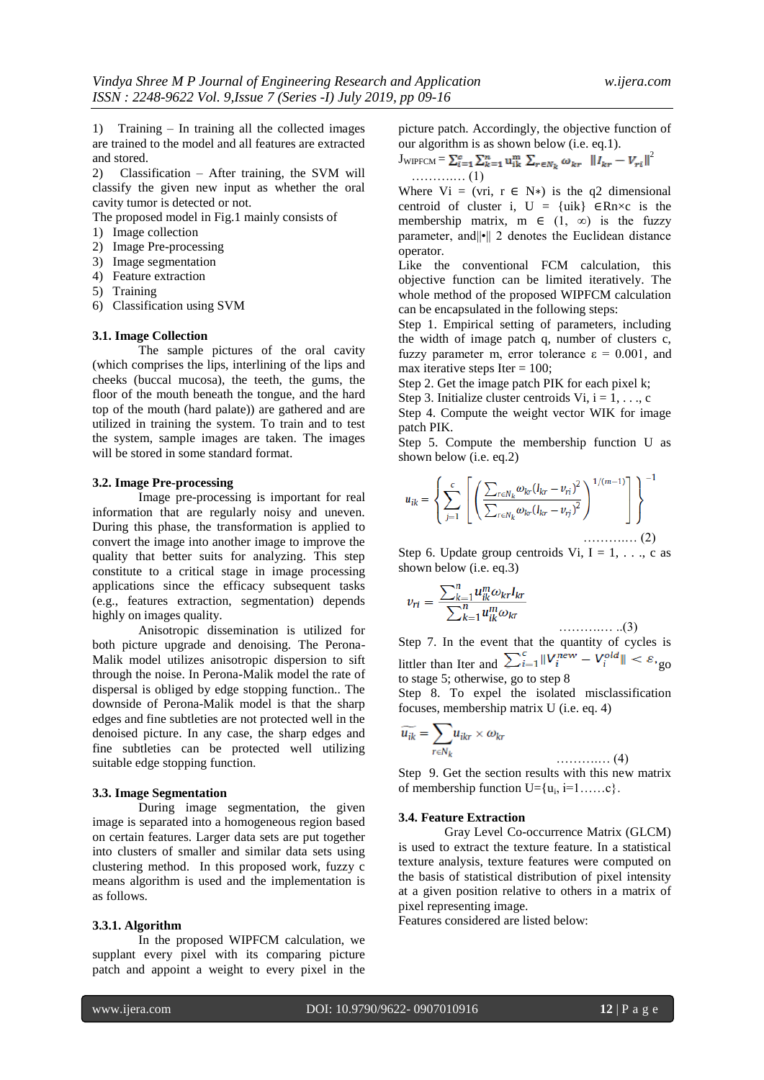1) Training – In training all the collected images are trained to the model and all features are extracted and stored.

2) Classification – After training, the SVM will classify the given new input as whether the oral cavity tumor is detected or not.

The proposed model in Fig.1 mainly consists of

- 1) Image collection
- 2) Image Pre-processing
- 3) Image segmentation
- 4) Feature extraction
- 5) Training
- 6) Classification using SVM

### **3.1. Image Collection**

The sample pictures of the oral cavity (which comprises the lips, interlining of the lips and cheeks (buccal mucosa), the teeth, the gums, the floor of the mouth beneath the tongue, and the hard top of the mouth (hard palate)) are gathered and are utilized in training the system. To train and to test the system, sample images are taken. The images will be stored in some standard format.

### **3.2. Image Pre-processing**

Image pre-processing is important for real information that are regularly noisy and uneven. During this phase, the transformation is applied to convert the image into another image to improve the quality that better suits for analyzing. This step constitute to a critical stage in image processing applications since the efficacy subsequent tasks (e.g., features extraction, segmentation) depends highly on images quality.

Anisotropic dissemination is utilized for both picture upgrade and denoising. The Perona-Malik model utilizes anisotropic dispersion to sift through the noise. In Perona-Malik model the rate of dispersal is obliged by edge stopping function.. The downside of Perona-Malik model is that the sharp edges and fine subtleties are not protected well in the denoised picture. In any case, the sharp edges and fine subtleties can be protected well utilizing suitable edge stopping function.

### **3.3. Image Segmentation**

During image segmentation, the given image is separated into a homogeneous region based on certain features. Larger data sets are put together into clusters of smaller and similar data sets using clustering method. In this proposed work, fuzzy c means algorithm is used and the implementation is as follows.

#### **3.3.1. Algorithm**

In the proposed WIPFCM calculation, we supplant every pixel with its comparing picture patch and appoint a weight to every pixel in the

picture patch. Accordingly, the objective function of our algorithm is as shown below (i.e. eq.1).

$$
\mathbf{J}_{\text{WIPFCM}} = \sum_{i=1}^{c} \sum_{k=1}^{n} \mathbf{u}_{ik}^{m} \sum_{r \in N_{k}} \omega_{kr} ||I_{kr} - V_{ri}||^{2}
$$
  
........(1)

Where Vi = (vri,  $r \in N^*$ ) is the q2 dimensional centroid of cluster i,  $U = \{uik\}$  ∈Rn×c is the membership matrix, m  $\in$  (1,  $\infty$ ) is the fuzzy parameter, and||•|| 2 denotes the Euclidean distance operator.

Like the conventional FCM calculation, this objective function can be limited iteratively. The whole method of the proposed WIPFCM calculation can be encapsulated in the following steps:

Step 1. Empirical setting of parameters, including the width of image patch q, number of clusters c, fuzzy parameter m, error tolerance  $ε = 0.001$ , and max iterative steps Iter  $= 100$ ;

Step 2. Get the image patch PIK for each pixel k;

Step 3. Initialize cluster centroids Vi,  $i = 1, \ldots, c$ 

Step 4. Compute the weight vector WIK for image patch PIK.

Step 5. Compute the membership function U as shown below (i.e. eq.2)

$$
u_{ik} = \left\{ \sum_{j=1}^{c} \left[ \left( \frac{\sum_{r \in N_k} \omega_{kr} (I_{kr} - v_{ri})^2}{\sum_{r \in N_k} \omega_{kr} (I_{kr} - v_{ri})^2} \right)^{1/(m-1)} \right] \right\}^{-1}
$$

Step 6. Update group centroids Vi,  $I = 1, \ldots, c$  as shown below (i.e. eq.3)

$$
v_{ri} = \frac{\sum_{k=1}^{n} u_{ik}^{m} \omega_{kr} I_{kr}}{\sum_{k=1}^{n} u_{ik}^{m} \omega_{kr}}
$$

……….… ..(3) Step 7. In the event that the quantity of cycles is littler than Iter and  $\sum_{i=1}^{c} ||V_i^{new} - V_i^{old}|| < \varepsilon$ , go to stage 5; otherwise, go to step 8

Step 8. To expel the isolated misclassification focuses, membership matrix U (i.e. eq. 4)

$$
\widetilde{u_{ik}} = \sum_{r \in N_k} u_{ikr} \times \omega_{kr}
$$
\n(4)

Step 9. Get the section results with this new matrix of membership function  $U = \{u_i, i=1, \ldots, c\}$ .

#### **3.4. Feature Extraction**

Gray Level Co-occurrence Matrix (GLCM) is used to extract the texture feature. In a statistical texture analysis, texture features were computed on the basis of statistical distribution of pixel intensity at a given position relative to others in a matrix of pixel representing image.

Features considered are listed below: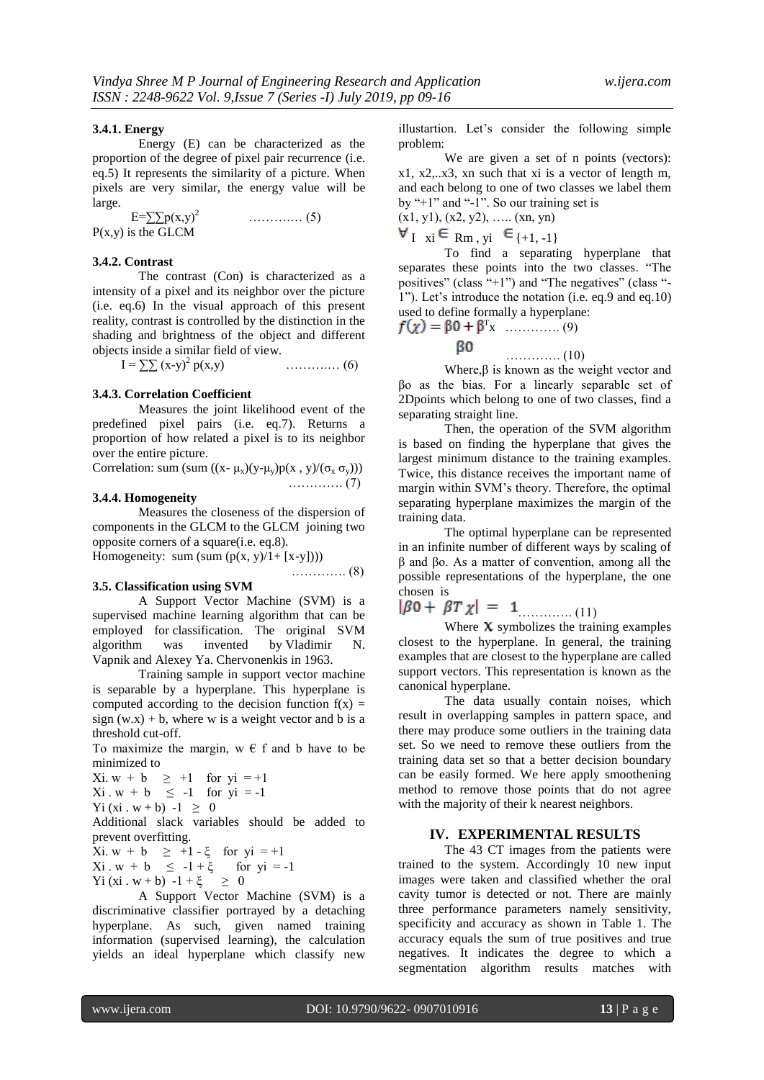### **3.4.1. Energy**

Energy (E) can be characterized as the proportion of the degree of pixel pair recurrence (i.e. eq.5) It represents the similarity of a picture. When pixels are very similar, the energy value will be large.

 E=∑∑p(x,y)<sup>2</sup>……….… (5)  $P(x,y)$  is the GLCM

#### **3.4.2. Contrast**

The contrast (Con) is characterized as a intensity of a pixel and its neighbor over the picture (i.e. eq.6) In the visual approach of this present reality, contrast is controlled by the distinction in the shading and brightness of the object and different objects inside a similar field of view.

 $I = \sum (x-y)^2 p(x,y)$  $\ldots$  $\ldots$  $\ldots$  (6)

# **3.4.3. Correlation Coefficient**

Measures the joint likelihood event of the predefined pixel pairs (i.e. eq.7). Returns a proportion of how related a pixel is to its neighbor over the entire picture.

| Correlation: sum (sum $((x - \mu_x)(y - \mu_y)p(x, y)/(\sigma_x \sigma_y)))$ |  |  |                                   |  |
|------------------------------------------------------------------------------|--|--|-----------------------------------|--|
|                                                                              |  |  | $\ldots \ldots \ldots \ldots (7)$ |  |

## **3.4.4. Homogeneity**

Measures the closeness of the dispersion of components in the GLCM to the GLCM joining two opposite corners of a square(i.e. eq.8).

…………. (8)

Homogeneity: sum  $(sum (p(x, y)/1 + [x-y]))$ 

### **3.5. Classification using SVM**

A Support Vector Machine (SVM) is a supervised machine learning algorithm that can be employed for classification. The original SVM algorithm was invented by [Vladimir N.](https://en.wikipedia.org/wiki/Vladimir_N._Vapnik)  [Vapnik](https://en.wikipedia.org/wiki/Vladimir_N._Vapnik) and [Alexey Ya. Chervonenkis](https://en.wikipedia.org/wiki/Alexey_Chervonenkis) in 1963.

Training sample in support vector machine is separable by a hyperplane. This hyperplane is computed according to the decision function  $f(x) =$ sign  $(w.x) + b$ , where w is a weight vector and b is a threshold cut-off.

To maximize the margin,  $w \in f$  and b have to be minimized to

Xi.  $w + b \geq +1$  for  $yi = +1$  $Xi \cdot w + b \le -1$  for  $yi = -1$ 

Yi  $(xi \cdot w + b) -1 \ge 0$ 

Additional slack variables should be added to prevent overfitting.

 $Xi. w + b \geq +1 - \xi$  for  $yi = +1$ 

Xi. w + b ≤ -1 + 
$$
\xi
$$
 for yi = -1  
Yi (xi. w + b) -1 +  $\xi$  ≥ 0

A Support Vector Machine (SVM) is a discriminative classifier portrayed by a detaching hyperplane. As such, given named training information (supervised learning), the calculation yields an ideal hyperplane which classify new

illustartion. Let's consider the following simple problem:

We are given a set of n points (vectors): x1, x2,..x3, xn such that xi is a vector of length m, and each belong to one of two classes we label them by "+1" and "-1". So our training set is  $(x1, y1), (x2, y2), \ldots$   $(xn, yn)$ 

 $\forall$ <sub>I</sub> xi  $\in$  Rm, yi  $\in$  {+1, -1}

To find a separating hyperplane that separates these points into the two classes. "The positives" (class "+1") and "The negatives" (class "- 1"). Let's introduce the notation (i.e. eq.9 and eq.10) used to define formally a hyperplane:

T x …………. (9) …………. (10)

Where,β is known as the weight vector and βo as the bias. For a linearly separable set of 2Dpoints which belong to one of two classes, find a separating straight line.

Then, the operation of the SVM algorithm is based on finding the hyperplane that gives the largest minimum distance to the training examples. Twice, this distance receives the important name of margin within SVM"s theory. Therefore, the optimal separating hyperplane maximizes the margin of the training data.

The optimal hyperplane can be represented in an infinite number of different ways by scaling of β and βo. As a matter of convention, among all the possible representations of the hyperplane, the one chosen is

$$
|\beta 0 + \beta T \chi| = 1
$$
 (11)

Where  $\boldsymbol{\chi}$  symbolizes the training examples closest to the hyperplane. In general, the training examples that are closest to the hyperplane are called support vectors. This representation is known as the canonical hyperplane.

The data usually contain noises, which result in overlapping samples in pattern space, and there may produce some outliers in the training data set. So we need to remove these outliers from the training data set so that a better decision boundary can be easily formed. We here apply smoothening method to remove those points that do not agree with the majority of their k nearest neighbors.

# **IV. EXPERIMENTAL RESULTS**

The 43 CT images from the patients were trained to the system. Accordingly 10 new input images were taken and classified whether the oral cavity tumor is detected or not. There are mainly three performance parameters namely sensitivity, specificity and accuracy as shown in Table 1. The accuracy equals the sum of true positives and true negatives. It indicates the degree to which a segmentation algorithm results matches with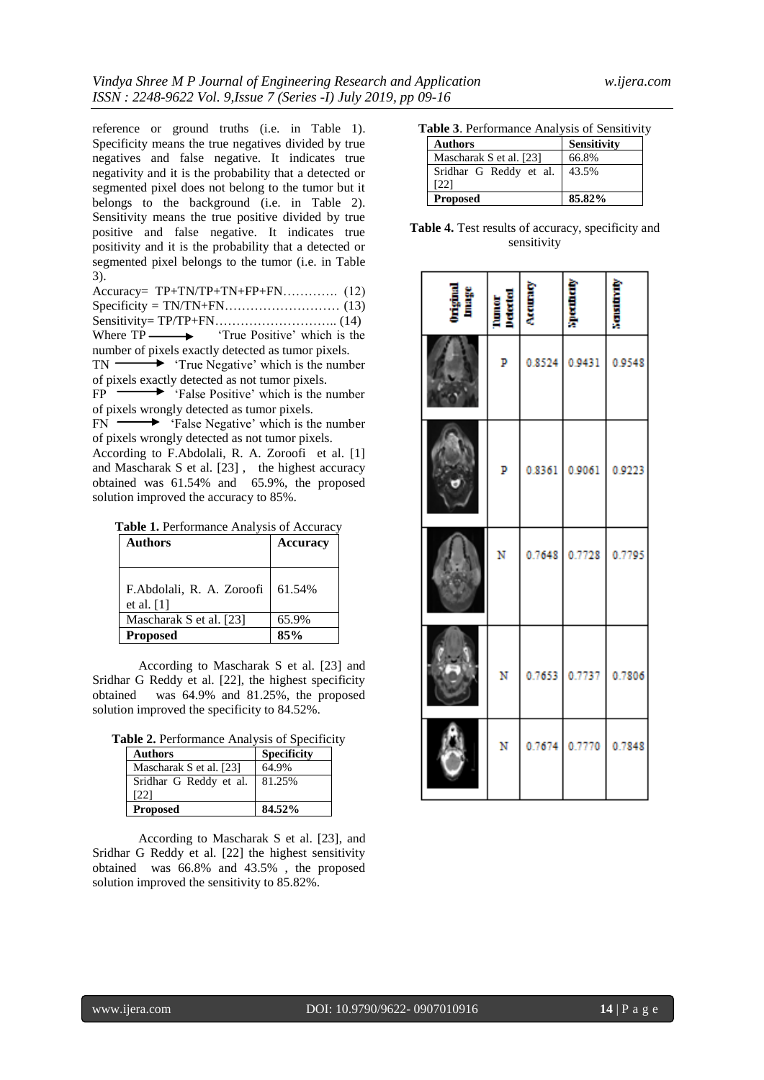reference or ground truths (i.e. in Table 1). Specificity means the true negatives divided by true negatives and false negative. It indicates true negativity and it is the probability that a detected or segmented pixel does not belong to the tumor but it belongs to the background (i.e. in Table 2). Sensitivity means the true positive divided by true positive and false negative. It indicates true positivity and it is the probability that a detected or segmented pixel belongs to the tumor (i.e. in Table 3).

| Where $TP \longrightarrow$ True Positive' which is the    |
|-----------------------------------------------------------|
| number of pixels exactly detected as tumor pixels.        |
| $TN \longrightarrow$ True Negative' which is the number   |
| of pixels exactly detected as not tumor pixels.           |
| $FP \longrightarrow$ 'False Positive' which is the number |

of pixels wrongly detected as tumor pixels.

 $FN \longrightarrow$  False Negative' which is the number of pixels wrongly detected as not tumor pixels. According to F.Abdolali, R. A. Zoroofi et al. [1]

and [Mascharak S](https://www.ncbi.nlm.nih.gov/pubmed/?term=Mascharak%20S%5BAuthor%5D&cauthor=true&cauthor_uid=29577322) et al. [23] , the highest accuracy obtained was 61.54% and 65.9%, the proposed solution improved the accuracy to 85%.

| Table 1. Performance Analysis of Accuracy |  |  |  |
|-------------------------------------------|--|--|--|
|-------------------------------------------|--|--|--|

| <b>Authors</b>                              | <b>Accuracy</b> |
|---------------------------------------------|-----------------|
| F.Abdolali, R. A. Zoroofi  <br>et al. $[1]$ | 61.54%          |
| Mascharak S et al. [23]                     | 65.9%           |
| <b>Proposed</b>                             | 85%             |

According to [Mascharak S](https://www.ncbi.nlm.nih.gov/pubmed/?term=Mascharak%20S%5BAuthor%5D&cauthor=true&cauthor_uid=29577322) et al. [23] and Sridhar G Reddy et al. [22], the highest specificity obtained was 64.9% and 81.25%, the proposed solution improved the specificity to 84.52%.

| <b>Authors</b>                 | <b>Specificity</b> |
|--------------------------------|--------------------|
| Mascharak S et al. [23]        | 64.9%              |
| Sridhar G Reddy et al.<br>[22] | 81.25%             |
| <b>Proposed</b>                | 84.52%             |

According to [Mascharak S](https://www.ncbi.nlm.nih.gov/pubmed/?term=Mascharak%20S%5BAuthor%5D&cauthor=true&cauthor_uid=29577322) et al. [23], and Sridhar G Reddy et al. [22] the highest sensitivity obtained was 66.8% and 43.5% , the proposed solution improved the sensitivity to 85.82%.

| Table 3. Performance Analysis of Sensitivity |  |  |
|----------------------------------------------|--|--|
|----------------------------------------------|--|--|

| <b>Authors</b>          | Sensitivity |
|-------------------------|-------------|
| Mascharak S et al. [23] | 66.8%       |
| Sridhar G Reddy et al.  | 43.5%       |
| [22]                    |             |
| <b>Proposed</b>         | 85.82%      |

| <b>Table 4.</b> Test results of accuracy, specificity and |  |
|-----------------------------------------------------------|--|
| sensitivity                                               |  |

| oniginal<br>Anage | <b>Tunner</b><br>Marcon | <b>Arrupa A</b> |        |        |
|-------------------|-------------------------|-----------------|--------|--------|
|                   | P                       | 0.8524          | 0.9431 | 0.9548 |
|                   | P                       | 0.8361          | 0.9061 | 0.9223 |
|                   | N                       | 0.7648          | 0.7728 | 0.7795 |
|                   | N                       | 0.7653          | 0.7737 | 0.7806 |
|                   | N                       | 0.7674          | 0.7770 | 0.7848 |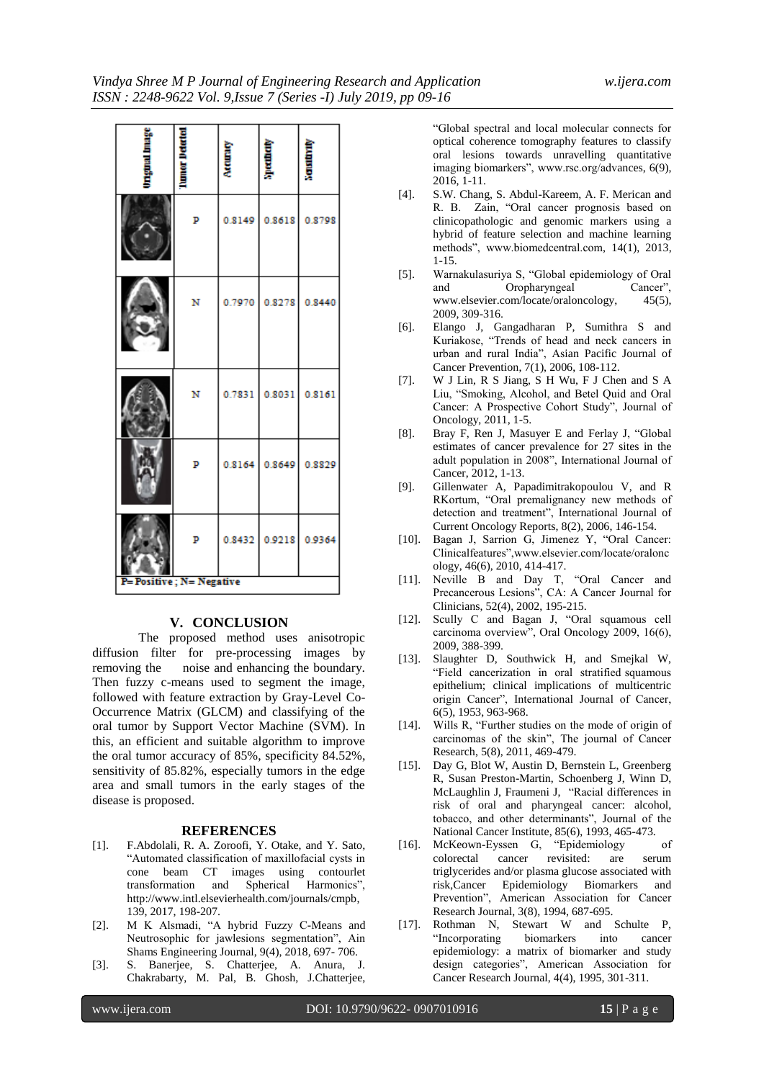|                          | lunter De | Accuracy | <b>Thermall</b>      | <b>Nation</b>        |
|--------------------------|-----------|----------|----------------------|----------------------|
|                          | P         |          | 0.8149 0.8618 0.8798 |                      |
|                          | N         |          |                      | 0.7970 0.8278 0.8440 |
|                          | N         |          | 0.7831 0.8031 0.8161 |                      |
|                          | P         |          |                      | 0.8164 0.8649 0.8829 |
|                          | P         |          |                      | 0.8432 0.9218 0.9364 |
| P= Positive; N= Negative |           |          |                      |                      |

# **V. CONCLUSION**

The proposed method uses anisotropic diffusion filter for pre-processing images by removing the noise and enhancing the boundary. Then fuzzy c-means used to segment the image, followed with feature extraction by Gray-Level Co-Occurrence Matrix (GLCM) and classifying of the oral tumor by Support Vector Machine (SVM). In this, an efficient and suitable algorithm to improve the oral tumor accuracy of 85%, specificity 84.52%, sensitivity of 85.82%, especially tumors in the edge area and small tumors in the early stages of the disease is proposed.

#### **REFERENCES**

- [1]. F.Abdolali, R. A. Zoroofi, Y. Otake, and Y. Sato, "Automated classification of maxillofacial cysts in cone beam CT images using contourlet transformation and Spherical Harmonics", transformation and Spherical Harmonics", http://www.intl.elsevierhealth.com/journals/cmpb, 139, 2017, 198-207.
- [2]. M K Alsmadi, "A hybrid Fuzzy C-Means and Neutrosophic for jawlesions segmentation", Ain Shams Engineering Journal, 9(4), 2018, 697- 706.
- [3]. S. Banerjee, S. Chatterjee, A. Anura, J. Chakrabarty, M. Pal, B. Ghosh, J.Chatterjee,

"Global spectral and local molecular connects for optical coherence tomography features to classify oral lesions towards unravelling quantitative imaging biomarkers", www.rsc.org/advances, 6(9), 2016, 1-11.

- [4]. S.W. Chang, S. Abdul-Kareem, A. F. Merican and R. B. Zain, "Oral cancer prognosis based on clinicopathologic and genomic markers using a hybrid of feature selection and machine learning methods", www.biomedcentral.com, 14(1), 2013, 1-15.
- [5]. Warnakulasuriya S, "Global epidemiology of Oral and Oropharyngeal Cancer", www.elsevier.com/locate/oraloncology, 45(5), 2009, 309-316.
- [6]. Elango J, Gangadharan P, Sumithra S and Kuriakose, "Trends of head and neck cancers in urban and rural India", Asian Pacific Journal of Cancer Prevention, 7(1), 2006, 108-112.
- [7]. W J Lin, R S Jiang, S H Wu, F J Chen and S A Liu, "Smoking, Alcohol, and Betel Quid and Oral Cancer: A Prospective Cohort Study", Journal of Oncology, 2011, 1-5.
- [8]. Bray F, Ren J, Masuyer E and Ferlay J, "Global estimates of cancer prevalence for 27 sites in the adult population in 2008", International Journal of Cancer, 2012, 1-13.
- [9]. Gillenwater A, Papadimitrakopoulou V, and R RKortum, "Oral premalignancy new methods of detection and treatment", International Journal of [Current Oncology Reports,](https://link.springer.com/journal/11912) 8(2), 2006, 146-154.
- [10]. Bagan J, Sarrion G, Jimenez Y, "Oral Cancer: Clinicalfeatures",www.elsevier.com/locate/oralonc ology, 46(6), 2010, 414-417.
- [11]. Neville B and Day T, "Oral Cancer and Precancerous Lesions", CA: A Cancer Journal for Clinicians, 52(4), 2002, 195-215.
- [12]. Scully C and Bagan J, "Oral squamous cell carcinoma overview", Oral Oncology 2009, 16(6), 2009, 388-399.
- [13]. Slaughter D, Southwick H, and Smejkal W, "Field cancerization in oral stratified squamous epithelium; clinical implications of multicentric origin Cancer", International Journal of Cancer, 6(5), 1953, 963-968.
- [14]. Wills R, "Further studies on the mode of origin of carcinomas of the skin", The journal of Cancer Research, 5(8), 2011, 469-479.
- [15]. Day G, Blot W, Austin D, Bernstein L, Greenberg R, Susan Preston-Martin, Schoenberg J, Winn D, McLaughlin J, Fraumeni J, "Racial differences in risk of oral and pharyngeal cancer: alcohol, tobacco, and other determinants", Journal of the National Cancer Institute, 85(6), 1993, 465-473.
- [16]. McKeown-Eyssen G, "Epidemiology of colorectal cancer revisited: are serum triglycerides and/or plasma glucose associated with risk,Cancer Epidemiology Biomarkers and Prevention", American Association for Cancer Research Journal, 3(8), 1994, 687-695.
- [17]. Rothman N, Stewart W and Schulte P, "Incorporating biomarkers into cancer epidemiology: a matrix of biomarker and study design categories", American Association for Cancer Research Journal, 4(4), 1995, 301-311.